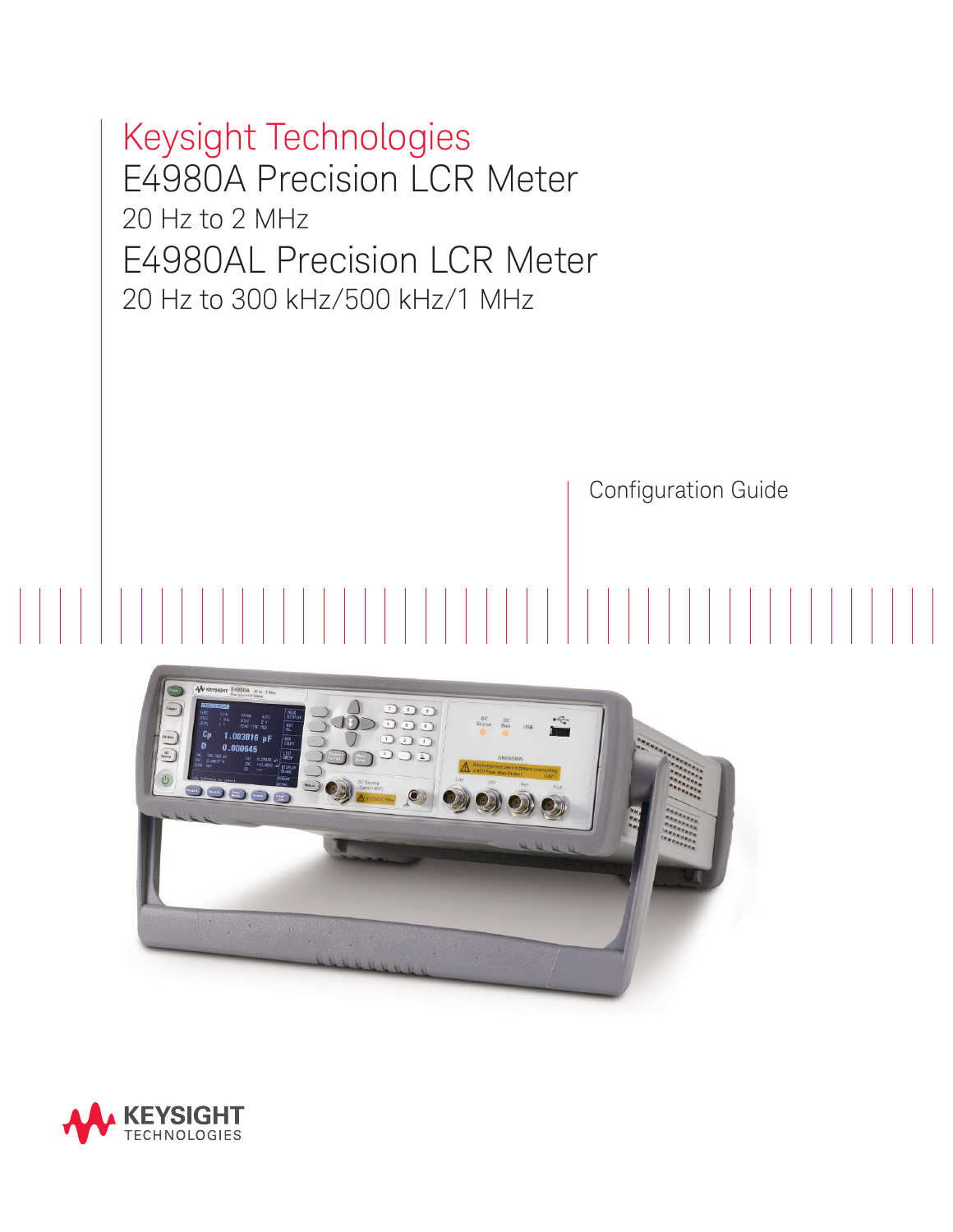Keysight Technologies E4980A Precision LCR Meter 20 Hz to 2 MHz E4980AL Precision LCR Meter 20 Hz to 300 kHz/500 kHz/1 MHz

Configuration Guide



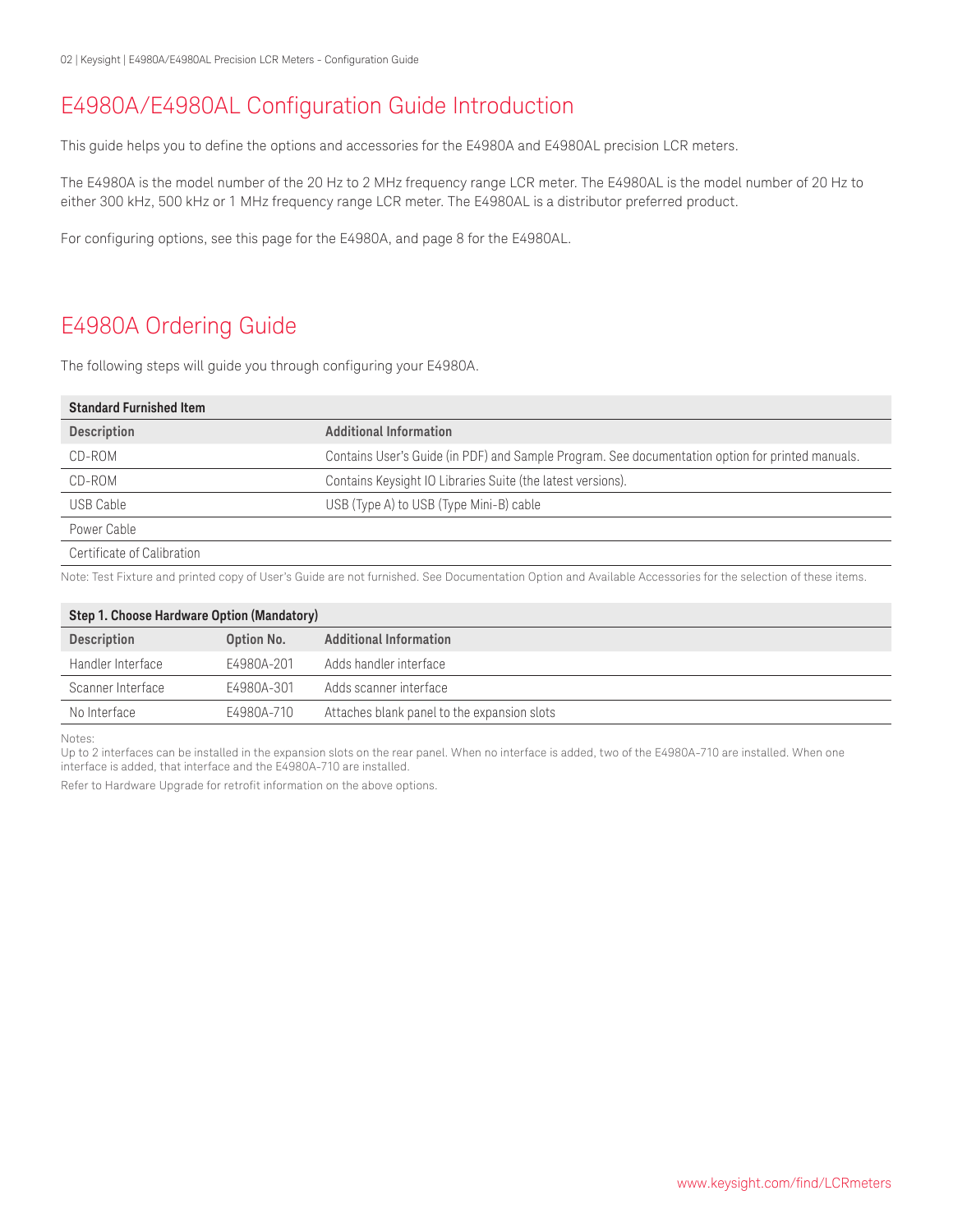### E4980A/E4980AL Configuration Guide Introduction

This guide helps you to define the options and accessories for the E4980A and E4980AL precision LCR meters.

The E4980A is the model number of the 20 Hz to 2 MHz frequency range LCR meter. The E4980AL is the model number of 20 Hz to either 300 kHz, 500 kHz or 1 MHz frequency range LCR meter. The E4980AL is a distributor preferred product.

For configuring options, see this page for the E4980A, and page 8 for the E4980AL.

# E4980A Ordering Guide

The following steps will guide you through configuring your E4980A.

| <b>Standard Furnished Item</b> |                                                                                                  |
|--------------------------------|--------------------------------------------------------------------------------------------------|
| <b>Description</b>             | <b>Additional Information</b>                                                                    |
| CD-ROM                         | Contains User's Guide (in PDF) and Sample Program. See documentation option for printed manuals. |
| CD-ROM                         | Contains Keysight IO Libraries Suite (the latest versions).                                      |
| USB Cable                      | USB (Type A) to USB (Type Mini-B) cable                                                          |
| Power Cable                    |                                                                                                  |
| Certificate of Calibration     |                                                                                                  |

Note: Test Fixture and printed copy of User's Guide are not furnished. See Documentation Option and Available Accessories for the selection of these items.

| Step 1. Choose Hardware Option (Mandatory) |            |                                             |  |
|--------------------------------------------|------------|---------------------------------------------|--|
| <b>Description</b>                         | Option No. | <b>Additional Information</b>               |  |
| Handler Interface                          | E4980A-201 | Adds handler interface                      |  |
| Scanner Interface                          | E4980A-301 | Adds scanner interface                      |  |
| No Interface                               | E4980A-710 | Attaches blank panel to the expansion slots |  |

Notes:

Up to 2 interfaces can be installed in the expansion slots on the rear panel. When no interface is added, two of the E4980A-710 are installed. When one interface is added, that interface and the E4980A-710 are installed.

Refer to Hardware Upgrade for retrofit information on the above options.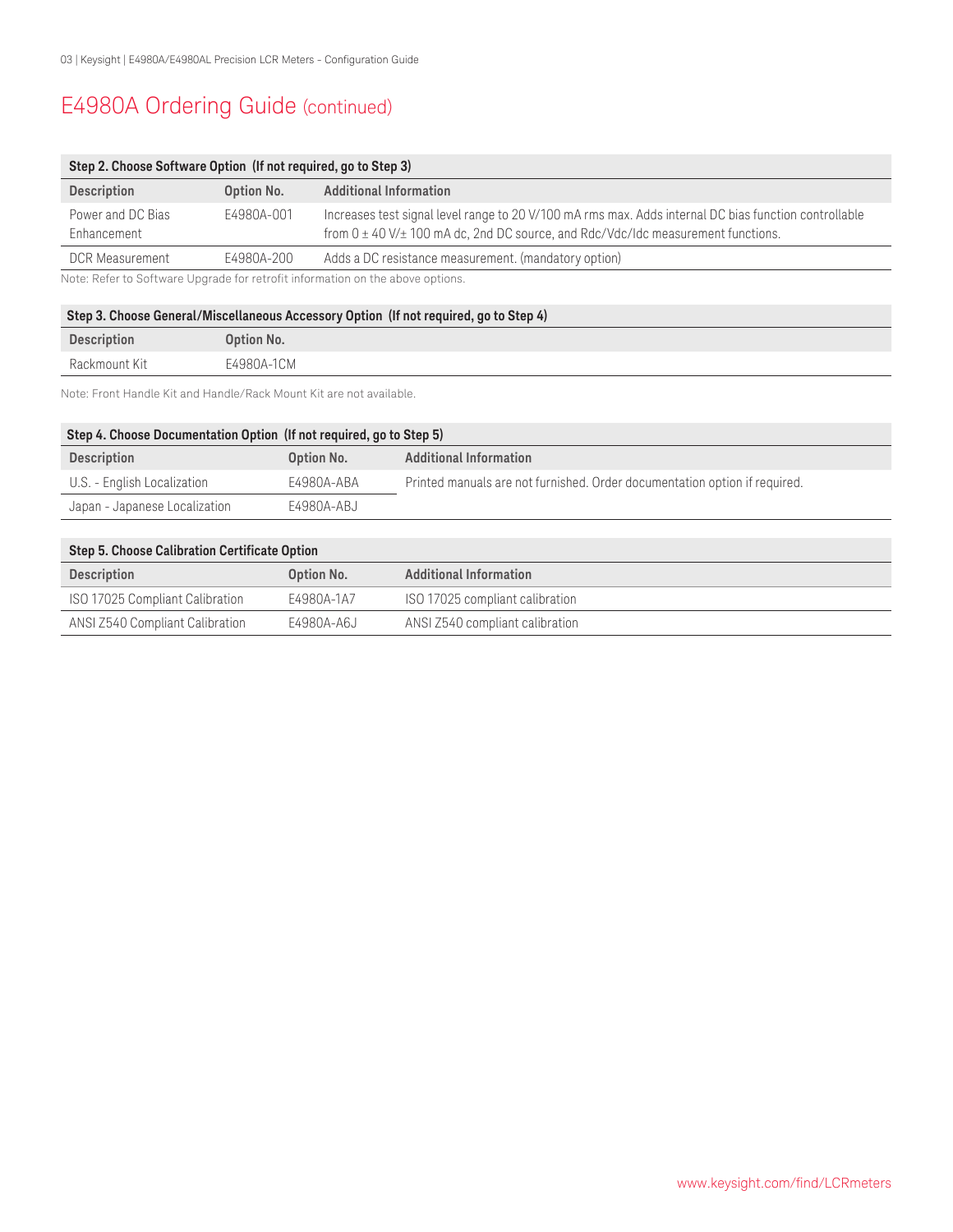# E4980A Ordering Guide (continued)

| Step 2. Choose Software Option (If not required, go to Step 3) |            |                                                                                                                                                                                                    |  |
|----------------------------------------------------------------|------------|----------------------------------------------------------------------------------------------------------------------------------------------------------------------------------------------------|--|
| <b>Description</b>                                             | Option No. | <b>Additional Information</b>                                                                                                                                                                      |  |
| Power and DC Bias<br>Enhancement                               | E4980A-001 | Increases test signal level range to 20 V/100 mA rms max. Adds internal DC bias function controllable<br>from $0 \pm 40$ V/ $\pm$ 100 mA dc, 2nd DC source, and Rdc/Vdc/Idc measurement functions. |  |
| <b>DCR Measurement</b>                                         | E4980A-200 | Adds a DC resistance measurement. (mandatory option)                                                                                                                                               |  |
|                                                                |            | Note: Refer to Software Upgrade for retrofit information on the above options.                                                                                                                     |  |

### **Step 3. Choose General/Miscellaneous Accessory Option (If not required, go to Step 4)**

| <b>Description</b> | Option No. |
|--------------------|------------|
| Rackmount Kit      | E4980A-1CM |

Note: Front Handle Kit and Handle/Rack Mount Kit are not available.

| Step 4. Choose Documentation Option (If not required, go to Step 5) |            |                                                                            |  |
|---------------------------------------------------------------------|------------|----------------------------------------------------------------------------|--|
| <b>Description</b>                                                  | Option No. | <b>Additional Information</b>                                              |  |
| U.S. - English Localization                                         | E4980A-ABA | Printed manuals are not furnished. Order documentation option if required. |  |
| Japan - Japanese Localization                                       | E4980A-ABJ |                                                                            |  |

| Step 5. Choose Calibration Certificate Option |            |                                 |  |
|-----------------------------------------------|------------|---------------------------------|--|
| <b>Description</b>                            | Option No. | <b>Additional Information</b>   |  |
| ISO 17025 Compliant Calibration               | E4980A-1A7 | ISO 17025 compliant calibration |  |
| ANSI Z540 Compliant Calibration               | E4980A-A6J | ANSI Z540 compliant calibration |  |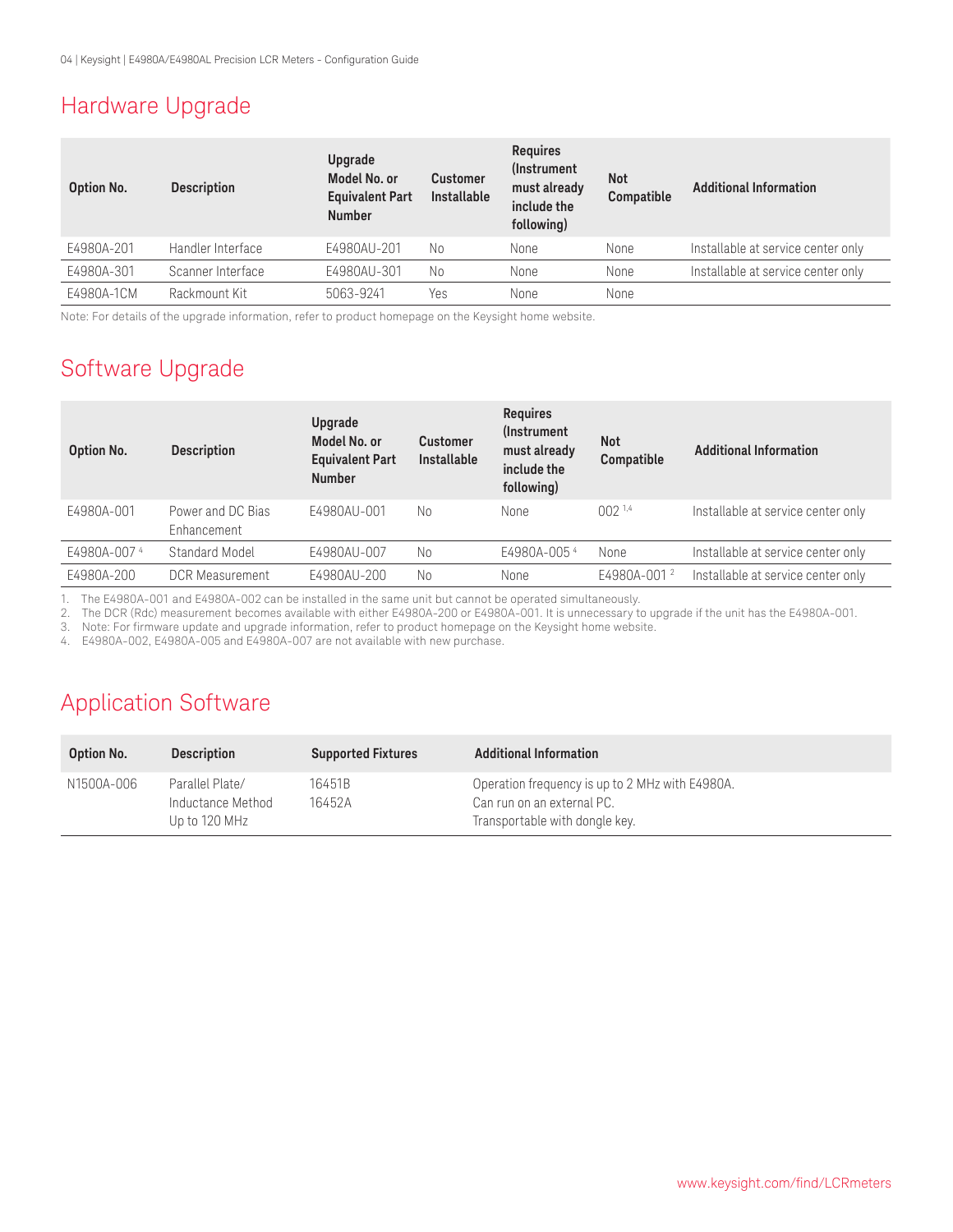### Hardware Upgrade

| Option No. | <b>Description</b> | Upgrade<br>Model No. or<br><b>Equivalent Part</b><br><b>Number</b> | <b>Customer</b><br>Installable | <b>Requires</b><br>(Instrument)<br>must already<br>include the<br>following) | <b>Not</b><br>Compatible | <b>Additional Information</b>      |
|------------|--------------------|--------------------------------------------------------------------|--------------------------------|------------------------------------------------------------------------------|--------------------------|------------------------------------|
| E4980A-201 | Handler Interface  | E4980AU-201                                                        | No                             | None                                                                         | None                     | Installable at service center only |
| E4980A-301 | Scanner Interface  | E4980AU-301                                                        | No                             | None                                                                         | None                     | Installable at service center only |
| E4980A-1CM | Rackmount Kit      | 5063-9241                                                          | Yes                            | None                                                                         | None                     |                                    |

Note: For details of the upgrade information, refer to product homepage on the Keysight home website.

# Software Upgrade

| Option No.  | <b>Description</b>               | Upgrade<br>Model No. or<br><b>Equivalent Part</b><br><b>Number</b> | <b>Customer</b><br><b>Installable</b> | <b>Requires</b><br><i>(Instrument)</i><br>must already<br>include the<br>following) | <b>Not</b><br>Compatible | <b>Additional Information</b>      |
|-------------|----------------------------------|--------------------------------------------------------------------|---------------------------------------|-------------------------------------------------------------------------------------|--------------------------|------------------------------------|
| E4980A-001  | Power and DC Bias<br>Enhancement | E4980AU-001                                                        | No                                    | None                                                                                | $002^{1,4}$              | Installable at service center only |
| E4980A-0074 | Standard Model                   | E4980AU-007                                                        | Nο                                    | E4980A-0054                                                                         | None                     | Installable at service center only |
| E4980A-200  | <b>DCR Measurement</b>           | E4980AU-200                                                        | Νo                                    | None                                                                                | E4980A-001 <sup>2</sup>  | Installable at service center only |

1. The E4980A-001 and E4980A-002 can be installed in the same unit but cannot be operated simultaneously.

2. The DCR (Rdc) measurement becomes available with either E4980A-200 or E4980A-001. It is unnecessary to upgrade if the unit has the E4980A-001.

3. Note: For firmware update and upgrade information, refer to product homepage on the Keysight home website.

4. E4980A-002, E4980A-005 and E4980A-007 are not available with new purchase.

### Application Software

| <b>Option No.</b> | <b>Description</b>                                    | <b>Supported Fixtures</b> | <b>Additional Information</b>                                                                                   |
|-------------------|-------------------------------------------------------|---------------------------|-----------------------------------------------------------------------------------------------------------------|
| N1500A-006        | Parallel Plate/<br>Inductance Method<br>Up to 120 MHz | 16451B<br>16452A          | Operation frequency is up to 2 MHz with E4980A.<br>Can run on an external PC.<br>Transportable with dongle key. |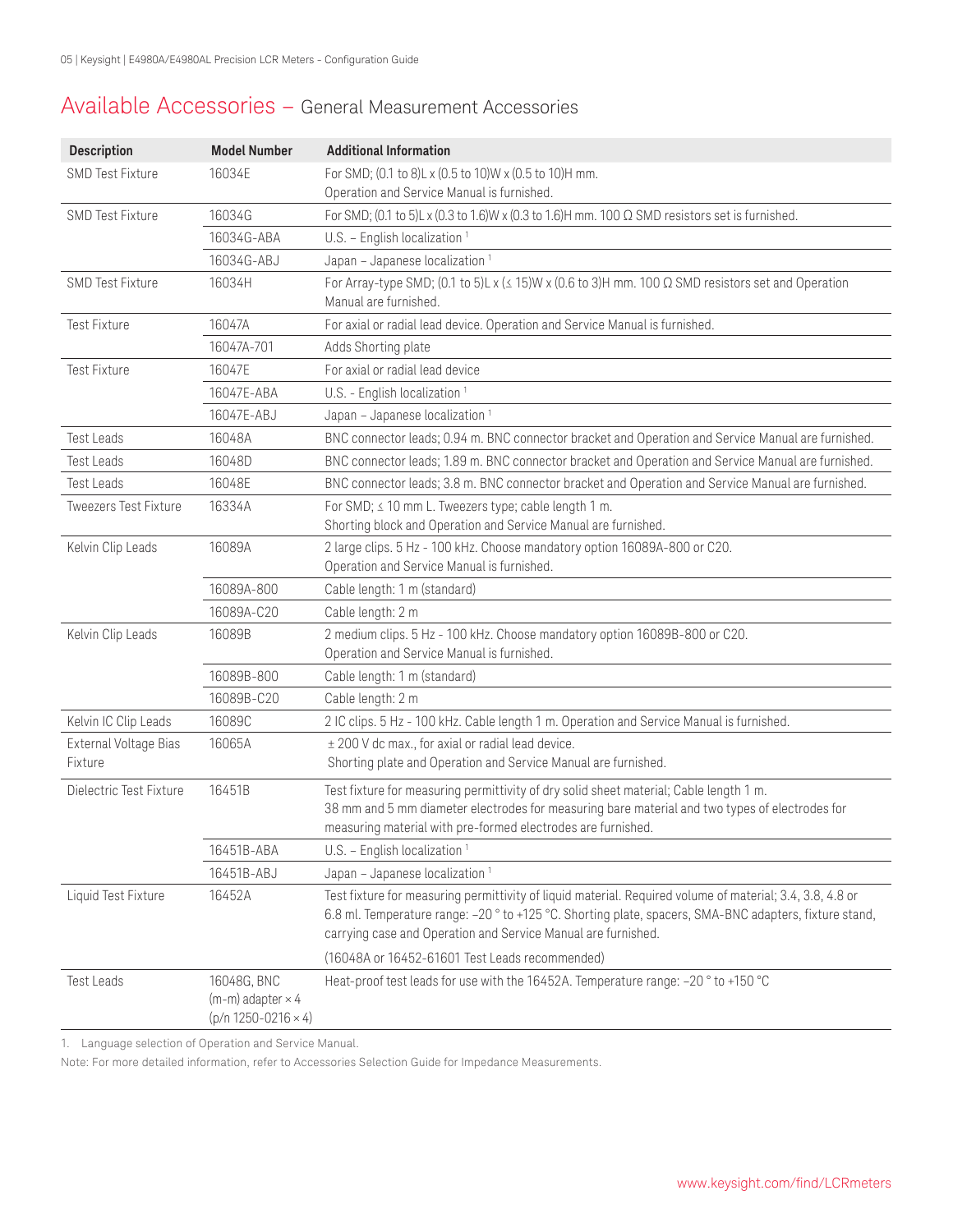### Available Accessories – General Measurement Accessories

| <b>Description</b>               | <b>Model Number</b>                                                       | <b>Additional Information</b>                                                                                                                                                                                                                                                        |
|----------------------------------|---------------------------------------------------------------------------|--------------------------------------------------------------------------------------------------------------------------------------------------------------------------------------------------------------------------------------------------------------------------------------|
| <b>SMD Test Fixture</b>          | 16034E                                                                    | For SMD; (0.1 to 8)L x (0.5 to 10)W x (0.5 to 10)H mm.                                                                                                                                                                                                                               |
|                                  |                                                                           | Operation and Service Manual is furnished.                                                                                                                                                                                                                                           |
| <b>SMD Test Fixture</b>          | 16034G                                                                    | For SMD; (0.1 to 5)L x (0.3 to 1.6)W x (0.3 to 1.6)H mm. 100 $\Omega$ SMD resistors set is furnished.                                                                                                                                                                                |
|                                  | 16034G-ABA                                                                | U.S. - English localization <sup>1</sup>                                                                                                                                                                                                                                             |
|                                  | 16034G-ABJ                                                                | Japan - Japanese localization <sup>1</sup>                                                                                                                                                                                                                                           |
| <b>SMD Test Fixture</b>          | 16034H                                                                    | For Array-type SMD; (0.1 to 5)L x ( $\leq$ 15)W x (0.6 to 3)H mm. 100 $\Omega$ SMD resistors set and Operation<br>Manual are furnished.                                                                                                                                              |
| <b>Test Fixture</b>              | 16047A                                                                    | For axial or radial lead device. Operation and Service Manual is furnished.                                                                                                                                                                                                          |
|                                  | 16047A-701                                                                | Adds Shorting plate                                                                                                                                                                                                                                                                  |
| Test Fixture                     | 16047E                                                                    | For axial or radial lead device                                                                                                                                                                                                                                                      |
|                                  | 16047E-ABA                                                                | U.S. - English localization <sup>1</sup>                                                                                                                                                                                                                                             |
|                                  | 16047E-ABJ                                                                | Japan - Japanese localization <sup>1</sup>                                                                                                                                                                                                                                           |
| <b>Test Leads</b>                | 16048A                                                                    | BNC connector leads; 0.94 m. BNC connector bracket and Operation and Service Manual are furnished.                                                                                                                                                                                   |
| <b>Test Leads</b>                | 16048D                                                                    | BNC connector leads; 1.89 m. BNC connector bracket and Operation and Service Manual are furnished.                                                                                                                                                                                   |
| <b>Test Leads</b>                | 16048E                                                                    | BNC connector leads; 3.8 m. BNC connector bracket and Operation and Service Manual are furnished.                                                                                                                                                                                    |
| <b>Tweezers Test Fixture</b>     | 16334A                                                                    | For SMD; $\leq$ 10 mm L. Tweezers type; cable length 1 m.<br>Shorting block and Operation and Service Manual are furnished.                                                                                                                                                          |
| Kelvin Clip Leads                | 16089A                                                                    | 2 large clips. 5 Hz - 100 kHz. Choose mandatory option 16089A-800 or C20.<br>Operation and Service Manual is furnished.                                                                                                                                                              |
|                                  | 16089A-800                                                                | Cable length: 1 m (standard)                                                                                                                                                                                                                                                         |
|                                  | 16089A-C20                                                                | Cable length: 2 m                                                                                                                                                                                                                                                                    |
| Kelvin Clip Leads                | 16089B                                                                    | 2 medium clips. 5 Hz - 100 kHz. Choose mandatory option 16089B-800 or C20.<br>Operation and Service Manual is furnished.                                                                                                                                                             |
|                                  | 16089B-800                                                                | Cable length: 1 m (standard)                                                                                                                                                                                                                                                         |
|                                  | 16089B-C20                                                                | Cable length: 2 m                                                                                                                                                                                                                                                                    |
| Kelvin IC Clip Leads             | 16089C                                                                    | 2 IC clips. 5 Hz - 100 kHz. Cable length 1 m. Operation and Service Manual is furnished.                                                                                                                                                                                             |
| External Voltage Bias<br>Fixture | 16065A                                                                    | ± 200 V dc max., for axial or radial lead device.<br>Shorting plate and Operation and Service Manual are furnished.                                                                                                                                                                  |
| Dielectric Test Fixture          | 16451B                                                                    | Test fixture for measuring permittivity of dry solid sheet material; Cable length 1 m.<br>38 mm and 5 mm diameter electrodes for measuring bare material and two types of electrodes for<br>measuring material with pre-formed electrodes are furnished.                             |
|                                  | 16451B-ABA                                                                | U.S. - English localization <sup>1</sup>                                                                                                                                                                                                                                             |
|                                  | 16451B-ABJ                                                                | Japan - Japanese localization <sup>1</sup>                                                                                                                                                                                                                                           |
| Liquid Test Fixture              | 16452A                                                                    | Test fixture for measuring permittivity of liquid material. Required volume of material; 3.4, 3.8, 4.8 or<br>6.8 ml. Temperature range: -20 ° to +125 °C. Shorting plate, spacers, SMA-BNC adapters, fixture stand,<br>carrying case and Operation and Service Manual are furnished. |
|                                  |                                                                           | (16048A or 16452-61601 Test Leads recommended)                                                                                                                                                                                                                                       |
| <b>Test Leads</b>                | 16048G, BNC<br>$(m-m)$ adapter $\times$ 4<br>$(p/n 1250 - 0216 \times 4)$ | Heat-proof test leads for use with the 16452A. Temperature range: -20 ° to +150 °C                                                                                                                                                                                                   |

1. Language selection of Operation and Service Manual.

Note: For more detailed information, refer to Accessories Selection Guide for Impedance Measurements.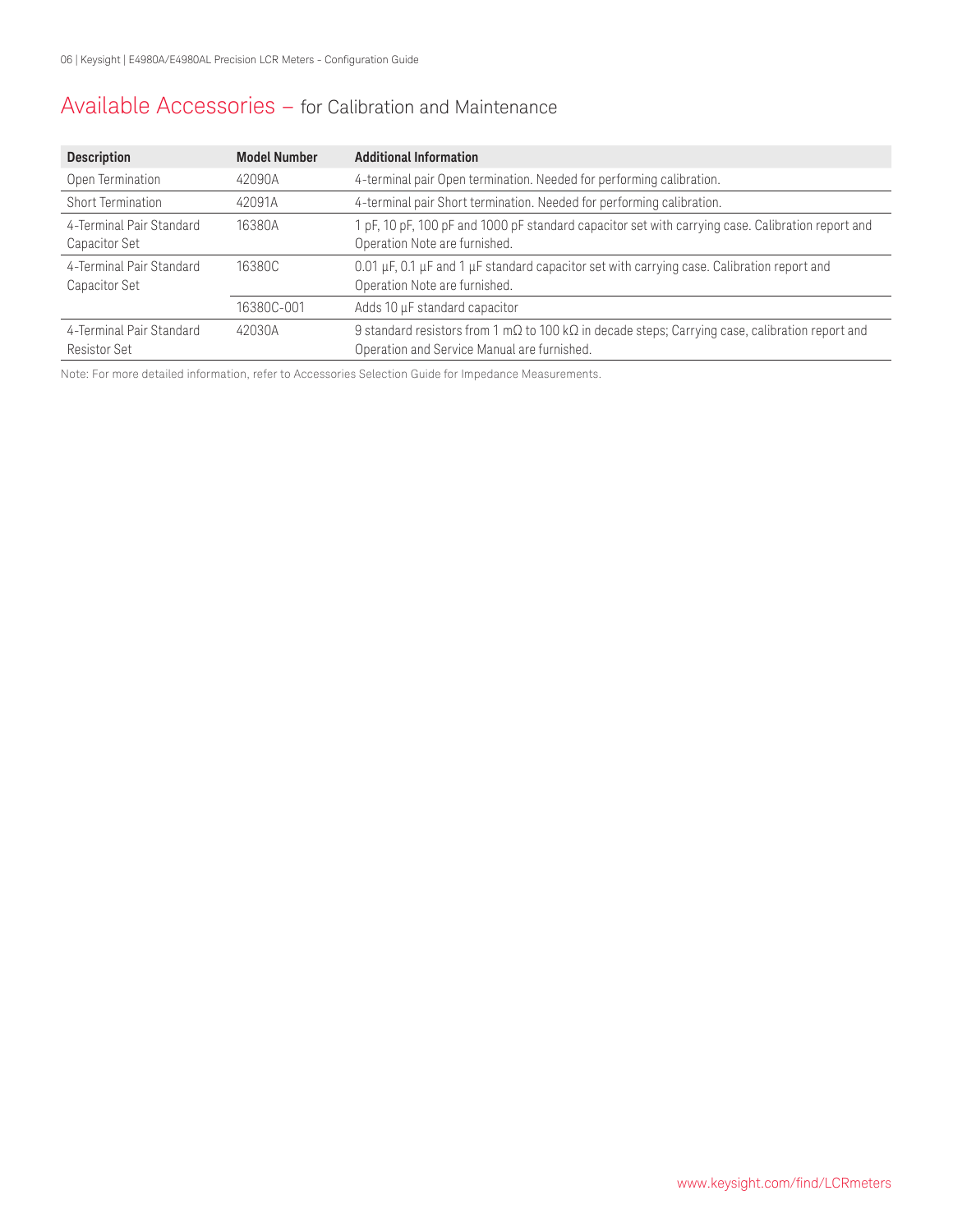### Available Accessories – for Calibration and Maintenance

| <b>Description</b>                              | <b>Model Number</b> | <b>Additional Information</b>                                                                                                                                  |
|-------------------------------------------------|---------------------|----------------------------------------------------------------------------------------------------------------------------------------------------------------|
| Open Termination                                | 42090A              | 4-terminal pair Open termination. Needed for performing calibration.                                                                                           |
| Short Termination                               | 42091A              | 4-terminal pair Short termination. Needed for performing calibration.                                                                                          |
| 4-Terminal Pair Standard<br>Capacitor Set       | 16380A              | 1 pF, 10 pF, 100 pF and 1000 pF standard capacitor set with carrying case. Calibration report and<br>Operation Note are furnished.                             |
| 4-Terminal Pair Standard<br>Capacitor Set       | 16380C              | 0.01 $\mu$ F, 0.1 $\mu$ F and 1 $\mu$ F standard capacitor set with carrying case. Calibration report and<br>Operation Note are furnished.                     |
|                                                 | 16380C-001          | Adds 10 µF standard capacitor                                                                                                                                  |
| 4-Terminal Pair Standard<br><b>Resistor Set</b> | 42030A              | 9 standard resistors from 1 m $\Omega$ to 100 k $\Omega$ in decade steps; Carrying case, calibration report and<br>Operation and Service Manual are furnished. |

Note: For more detailed information, refer to Accessories Selection Guide for Impedance Measurements.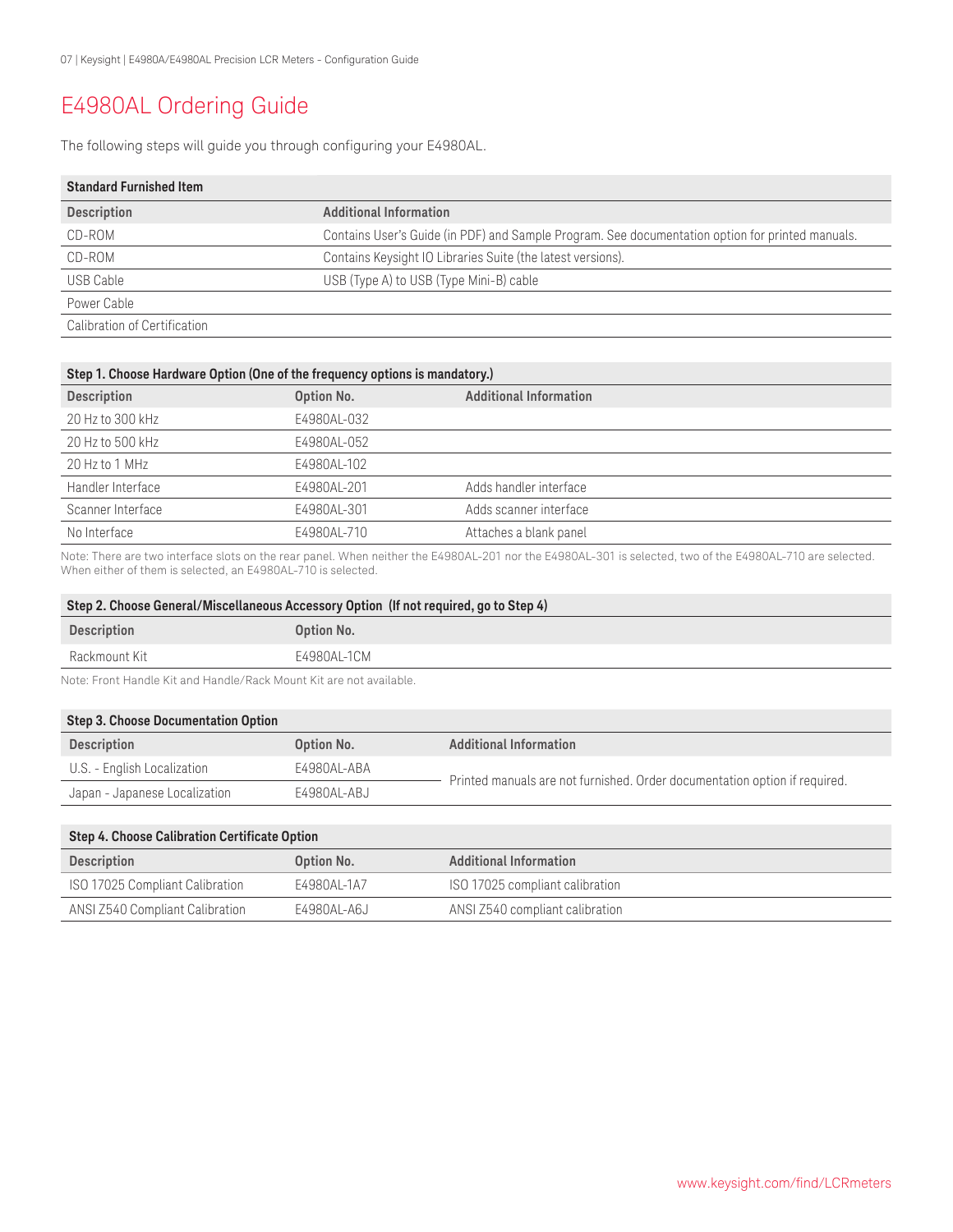# E4980AL Ordering Guide

The following steps will guide you through configuring your E4980AL.

| <b>Standard Furnished Item</b> |                                                                                                  |
|--------------------------------|--------------------------------------------------------------------------------------------------|
| <b>Description</b>             | <b>Additional Information</b>                                                                    |
| CD-ROM                         | Contains User's Guide (in PDF) and Sample Program. See documentation option for printed manuals. |
| CD-ROM                         | Contains Keysight IO Libraries Suite (the latest versions).                                      |
| USB Cable                      | USB (Type A) to USB (Type Mini-B) cable                                                          |
| Power Cable                    |                                                                                                  |
| Calibration of Certification   |                                                                                                  |

| Step 1. Choose Hardware Option (One of the frequency options is mandatory.) |             |                               |  |
|-----------------------------------------------------------------------------|-------------|-------------------------------|--|
| <b>Description</b>                                                          | Option No.  | <b>Additional Information</b> |  |
| 20 Hz to 300 kHz                                                            | E4980AL-032 |                               |  |
| 20 Hz to 500 kHz                                                            | E4980AL-052 |                               |  |
| 20 Hz to 1 MHz                                                              | E4980AL-102 |                               |  |
| Handler Interface                                                           | E4980AL-201 | Adds handler interface        |  |
| Scanner Interface                                                           | E4980AL-301 | Adds scanner interface        |  |
| No Interface                                                                | E4980AL-710 | Attaches a blank panel        |  |

Note: There are two interface slots on the rear panel. When neither the E4980AL-201 nor the E4980AL-301 is selected, two of the E4980AL-710 are selected. When either of them is selected, an E4980AL-710 is selected.

| Option No.  |
|-------------|
| E4980AL-1CM |
|             |

Note: Front Handle Kit and Handle/Rack Mount Kit are not available.

| Step 3. Choose Documentation Option |             |                                                                            |  |
|-------------------------------------|-------------|----------------------------------------------------------------------------|--|
| <b>Description</b>                  | Option No.  | <b>Additional Information</b>                                              |  |
| U.S. - English Localization         | E4980AL-ABA |                                                                            |  |
| Japan - Japanese Localization       | E4980AL-ABJ | Printed manuals are not furnished. Order documentation option if required. |  |

| Step 4. Choose Calibration Certificate Option |             |                                 |
|-----------------------------------------------|-------------|---------------------------------|
| <b>Description</b>                            | Option No.  | <b>Additional Information</b>   |
| ISO 17025 Compliant Calibration               | E4980AL-1A7 | ISO 17025 compliant calibration |
| ANSI Z540 Compliant Calibration               | E4980AL-A6J | ANSI Z540 compliant calibration |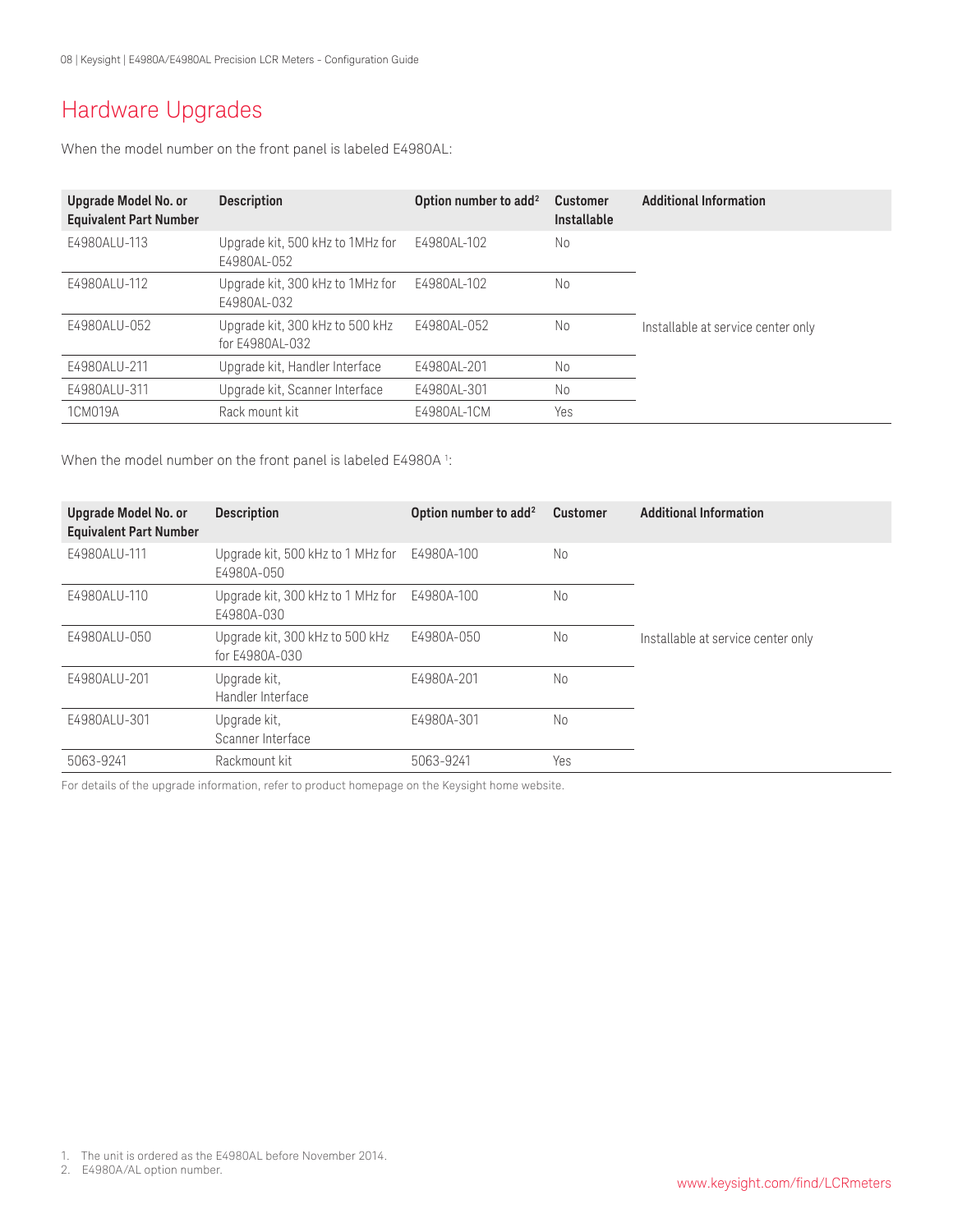# Hardware Upgrades

When the model number on the front panel is labeled E4980AL:

| Upgrade Model No. or<br><b>Equivalent Part Number</b> | <b>Description</b>                                 | Option number to add <sup>2</sup> | <b>Customer</b><br>Installable | <b>Additional Information</b>      |
|-------------------------------------------------------|----------------------------------------------------|-----------------------------------|--------------------------------|------------------------------------|
| E4980ALU-113                                          | Upgrade kit, 500 kHz to 1MHz for<br>F4980AL-052    | E4980AL-102                       | No                             |                                    |
| F4980ALU-112                                          | Upgrade kit, 300 kHz to 1MHz for<br>F4980AL-032    | F4980AL-102                       | No                             |                                    |
| E4980ALU-052                                          | Upgrade kit, 300 kHz to 500 kHz<br>for E4980AL-032 | E4980AL-052                       | No                             | Installable at service center only |
| F4980ALU-211                                          | Upgrade kit, Handler Interface                     | E4980AL-201                       | No                             |                                    |
| E4980ALU-311                                          | Upgrade kit, Scanner Interface                     | E4980AL-301                       | No                             |                                    |
| 1CM019A                                               | Rack mount kit                                     | E4980AL-1CM                       | Yes                            |                                    |

When the model number on the front panel is labeled E4980A  $^{\rm 1:}$ 

| <b>Upgrade Model No. or</b><br><b>Equivalent Part Number</b> | <b>Description</b>                                | Option number to add <sup>2</sup> | <b>Customer</b> | <b>Additional Information</b>      |
|--------------------------------------------------------------|---------------------------------------------------|-----------------------------------|-----------------|------------------------------------|
| E4980ALU-111                                                 | Upgrade kit, 500 kHz to 1 MHz for<br>E4980A-050   | E4980A-100                        | No              |                                    |
| E4980ALU-110                                                 | Upgrade kit, 300 kHz to 1 MHz for<br>E4980A-030   | E4980A-100                        | No              |                                    |
| E4980ALU-050                                                 | Upgrade kit, 300 kHz to 500 kHz<br>for E4980A-030 | E4980A-050                        | No              | Installable at service center only |
| E4980ALU-201                                                 | Upgrade kit,<br>Handler Interface                 | E4980A-201                        | No              |                                    |
| E4980ALU-301                                                 | Upgrade kit,<br>Scanner Interface                 | E4980A-301                        | No              |                                    |
| 5063-9241                                                    | Rackmount kit                                     | 5063-9241                         | Yes             |                                    |

For details of the upgrade information, refer to product homepage on the Keysight home website.

2. E4980A/AL option number.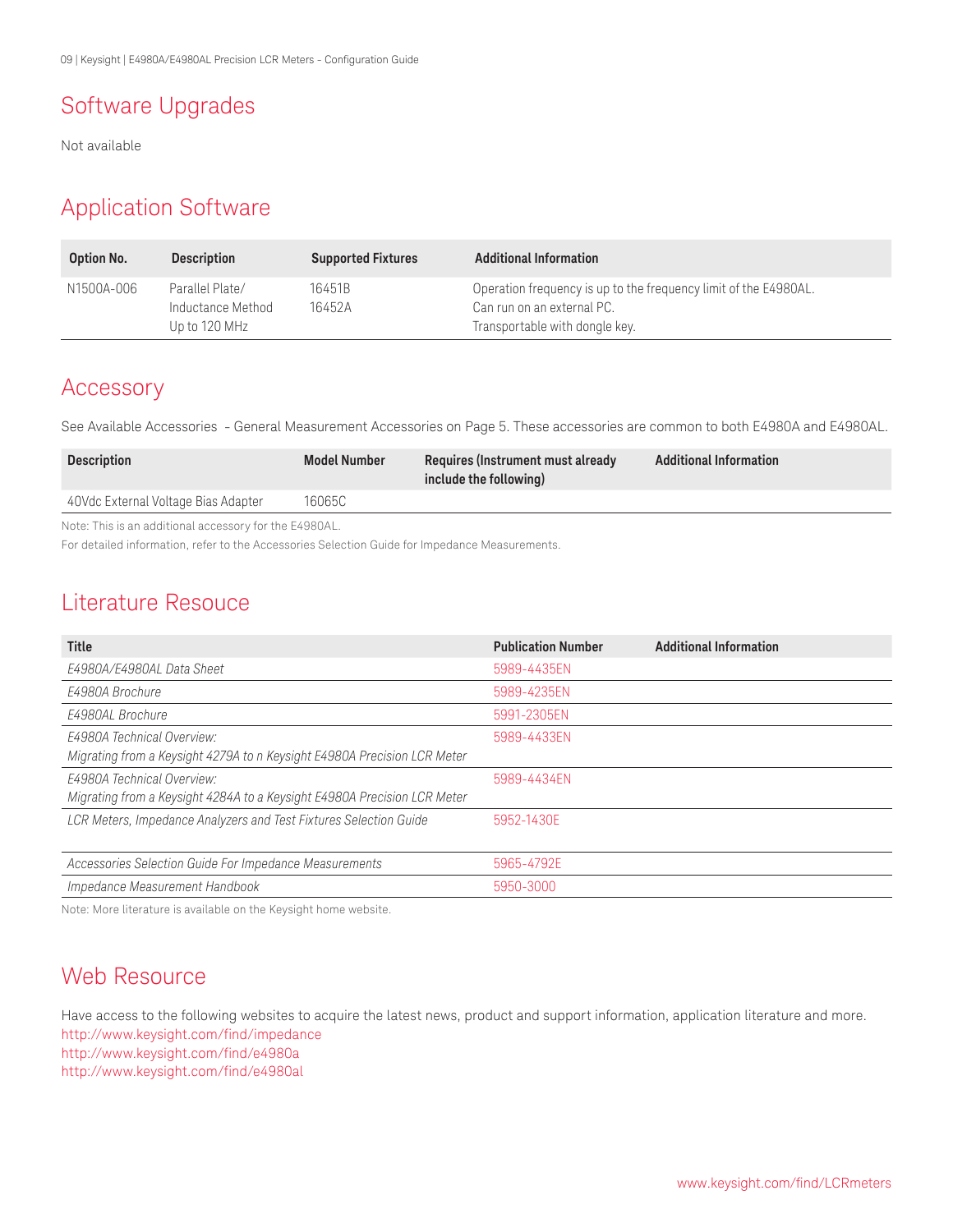# Software Upgrades

Not available

### Application Software

| <b>Option No.</b> | <b>Description</b>                                    | <b>Supported Fixtures</b> | <b>Additional Information</b>                                                                                                    |
|-------------------|-------------------------------------------------------|---------------------------|----------------------------------------------------------------------------------------------------------------------------------|
| N1500A-006        | Parallel Plate/<br>Inductance Method<br>Up to 120 MHz | 16451B<br>16452A          | Operation frequency is up to the frequency limit of the E4980AL.<br>Can run on an external PC.<br>Transportable with dongle key. |

### Accessory

See Available Accessories - General Measurement Accessories on Page 5. These accessories are common to both E4980A and E4980AL.

| <b>Description</b>                  | <b>Model Number</b> | Requires (Instrument must already<br>include the following) | <b>Additional Information</b> |
|-------------------------------------|---------------------|-------------------------------------------------------------|-------------------------------|
| 40Vdc External Voltage Bias Adapter | 16065C              |                                                             |                               |

Note: This is an additional accessory for the E4980AL.

For detailed information, refer to the Accessories Selection Guide for Impedance Measurements.

### Literature Resouce

| Title                                                                    | <b>Publication Number</b> | <b>Additional Information</b> |
|--------------------------------------------------------------------------|---------------------------|-------------------------------|
| E4980A/E4980AL Data Sheet                                                | 5989-4435EN               |                               |
| E4980A Brochure                                                          | 5989-4235EN               |                               |
| F4980AL Brochure                                                         | 5991-2305EN               |                               |
| <b>E4980A Technical Overview:</b>                                        | 5989-4433EN               |                               |
| Migrating from a Keysight 4279A to n Keysight E4980A Precision LCR Meter |                           |                               |
| E4980A Technical Overview:                                               | 5989-4434EN               |                               |
| Migrating from a Keysight 4284A to a Keysight E4980A Precision LCR Meter |                           |                               |
| LCR Meters, Impedance Analyzers and Test Fixtures Selection Guide        | 5952-1430E                |                               |
|                                                                          |                           |                               |
| Accessories Selection Guide For Impedance Measurements                   | 5965-4792E                |                               |
| Impedance Measurement Handbook                                           | 5950-3000                 |                               |

Note: More literature is available on the Keysight home website.

### Web Resource

Have access to the following websites to acquire the latest news, product and support information, application literature and more. [http://www.keysight.com/find/](http://www.agilent.com/find/lcrmeters)impedance [http://www.keysight.com/find/e4980a](http://www.home.agilent.com/agilent/product.jspx?cc=US&lc=eng&ckey=715495&nid=-536902441.536908436.00&id=715495) http://www.keysight.com/find/e4980al